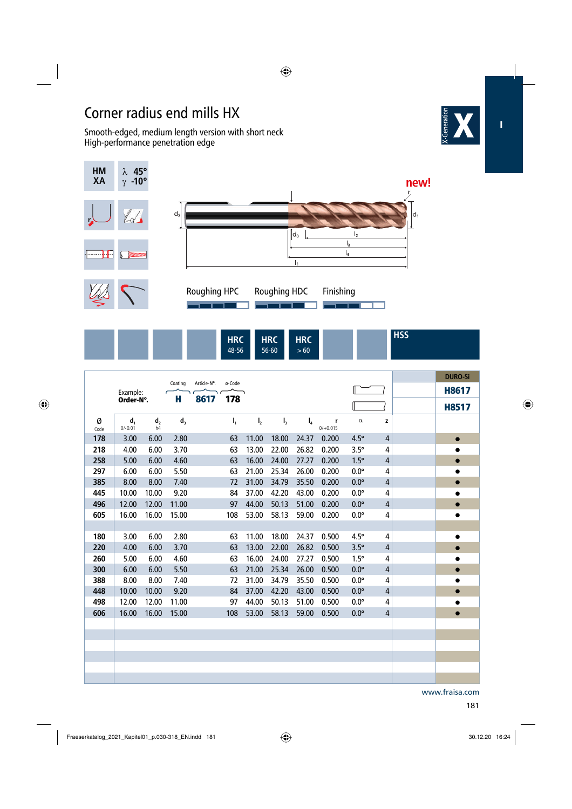## Corner radius end mills HX

 Smooth-edged, medium length version with short neck High-performance penetration edge





56-60

 $> 60$ 

48-56

|           |                    |                      |         |             |                |                |                |       |                 |             |                | <b>DURO-Si</b> |
|-----------|--------------------|----------------------|---------|-------------|----------------|----------------|----------------|-------|-----------------|-------------|----------------|----------------|
|           | Example:           |                      | Coating | Article-N°. | ø-Code         |                |                |       |                 |             |                | <b>H8617</b>   |
| Order-N°. |                    | н                    | 8617    | 178         |                |                |                |       |                 |             | <b>H8517</b>   |                |
| Ø<br>Code | $d_1$<br>$0/-0.01$ | d <sub>2</sub><br>h4 | $d_3$   |             | $\mathsf{I}_1$ | I <sub>2</sub> | $\mathsf{I}_3$ | $I_4$ | r<br>$0/+0.015$ | $\alpha$    | z              |                |
| 178       | 3.00               | 6.00                 | 2.80    |             | 63             | 11.00          | 18.00          | 24.37 | 0.200           | $4.5^\circ$ | $\overline{4}$ | $\bullet$      |
| 218       | 4.00               | 6.00                 | 3.70    |             | 63             | 13.00          | 22.00          | 26.82 | 0.200           | $3.5^\circ$ | 4              | $\bullet$      |
| 258       | 5.00               | 6.00                 | 4.60    |             | 63             | 16.00          | 24.00          | 27.27 | 0.200           | $1.5^\circ$ | $\overline{4}$ | $\bullet$      |
| 297       | 6.00               | 6.00                 | 5.50    |             | 63             | 21.00          | 25.34          | 26.00 | 0.200           | $0.0^\circ$ | 4              | $\bullet$      |
| 385       | 8.00               | 8.00                 | 7.40    |             | 72             | 31.00          | 34.79          | 35.50 | 0.200           | $0.0^\circ$ | $\overline{4}$ | $\bullet$      |
| 445       | 10.00              | 10.00                | 9.20    |             | 84             | 37.00          | 42.20          | 43.00 | 0.200           | $0.0^\circ$ | $\overline{4}$ | $\bullet$      |
| 496       | 12.00              | 12.00                | 11.00   |             | 97             | 44.00          | 50.13          | 51.00 | 0.200           | $0.0^\circ$ | $\overline{4}$ | $\bullet$      |
| 605       | 16.00              | 16.00                | 15.00   |             | 108            | 53.00          | 58.13          | 59.00 | 0.200           | $0.0^\circ$ | 4              | $\bullet$      |
|           |                    |                      |         |             |                |                |                |       |                 |             |                |                |
| 180       | 3.00               | 6.00                 | 2.80    |             | 63             | 11.00          | 18.00          | 24.37 | 0.500           | $4.5^\circ$ | 4              | $\bullet$      |
| 220       | 4.00               | 6.00                 | 3.70    |             | 63             | 13.00          | 22.00          | 26.82 | 0.500           | $3.5^\circ$ | $\overline{4}$ | $\bullet$      |
| 260       | 5.00               | 6.00                 | 4.60    |             | 63             | 16.00          | 24.00          | 27.27 | 0.500           | $1.5^\circ$ | 4              | $\bullet$      |
| 300       | 6.00               | 6.00                 | 5.50    |             | 63             | 21.00          | 25.34          | 26.00 | 0.500           | $0.0^\circ$ | $\overline{4}$ | $\bullet$      |
| 388       | 8.00               | 8.00                 | 7.40    |             | 72             | 31.00          | 34.79          | 35.50 | 0.500           | $0.0^\circ$ | 4              | $\bullet$      |
| 448       | 10.00              | 10.00                | 9.20    |             | 84             | 37.00          | 42.20          | 43.00 | 0.500           | $0.0^\circ$ | $\overline{4}$ | $\bullet$      |
| 498       | 12.00              | 12.00                | 11.00   |             | 97             | 44.00          | 50.13          | 51.00 | 0.500           | $0.0^\circ$ | 4              | $\bullet$      |
| 606       | 16.00              | 16.00                | 15.00   |             | 108            | 53.00          | 58.13          | 59.00 | 0.500           | $0.0^\circ$ | 4              | $\bullet$      |
|           |                    |                      |         |             |                |                |                |       |                 |             |                |                |
|           |                    |                      |         |             |                |                |                |       |                 |             |                |                |
|           |                    |                      |         |             |                |                |                |       |                 |             |                |                |
|           |                    |                      |         |             |                |                |                |       |                 |             |                |                |
|           |                    |                      |         |             |                |                |                |       |                 |             |                |                |
|           |                    |                      |         |             |                |                |                |       |                 |             |                |                |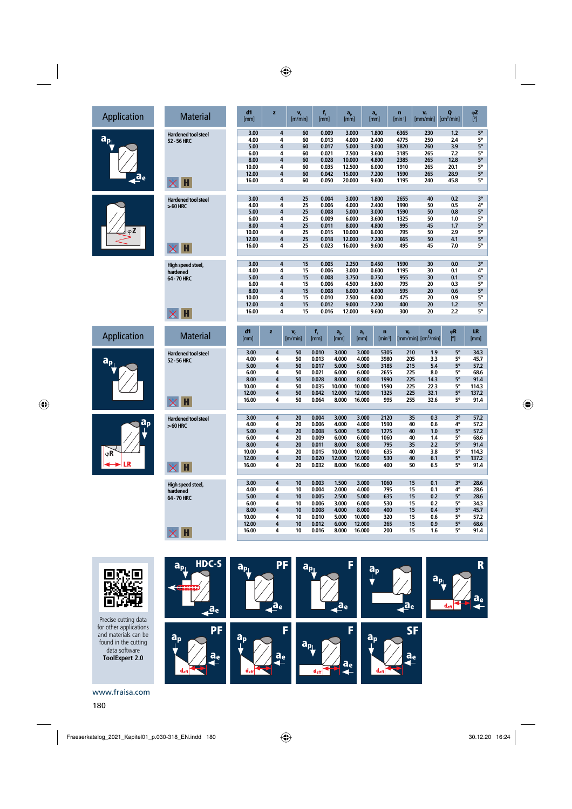## Application Materia  $a_{p_{\perp}}$ ae









 **Hardened tool steel 52 - 56 HRC** 

**Hardened tool stee > 60 HRC** 

 $\times$  H

 $\times$  H

 **High speed steel, hardened 64 - 70 HRC** 

 $\times$  H



Precise cutting data for other applications and materials can be found in the cutting data software **ToolExpert 2.0**

| al |  | d1<br>[mm]     | z              | $V_c$<br>[m/min] | f,<br>[mm]     | $a_p$<br>[mm]   | $a_e$<br>[mm]                   | n<br>$[min-1]$ | $V_{f}$<br>[mm/min]         | Q<br>[cm <sup>3</sup> /min] | φΖ<br>[°]                     |
|----|--|----------------|----------------|------------------|----------------|-----------------|---------------------------------|----------------|-----------------------------|-----------------------------|-------------------------------|
|    |  | 3.00           | 4              | 60               | 0.009          | 3.000           | 1.800                           | 6365           | 230                         | 1.2                         | $5^{\circ}$                   |
| 9l |  | 4.00           | 4              | 60               | 0.013          | 4.000           | 2.400                           | 4775           | 250                         | 2.4                         | 5°                            |
|    |  | 5.00           | 4              | 60               | 0.017          | 5.000           | 3.000                           | 3820           | 260                         | 3.9                         | 5°                            |
|    |  | 6.00           | 4              | 60               | 0.021          | 7.500           | 3.600                           | 3185           | 265                         | 7.2                         | 5°                            |
|    |  | 8.00           | 4              | 60               | 0.028          | 10.000          | 4.800                           | 2385           | 265                         | 12.8                        | 5°                            |
|    |  | 10.00          | 4              | 60               | 0.035          | 12.500          | 6.000                           | 1910           | 265                         | 20.1                        | 5°                            |
|    |  | 12.00          | 4              | 60               | 0.042          | 15.000          | 7.200                           | 1590           | 265                         | 28.9                        | 5°                            |
|    |  | 16.00          | 4              | 60               | 0.050          | 20.000          | 9.600                           | 1195           | 240                         | 45.8                        | 5°                            |
|    |  |                |                |                  |                |                 |                                 |                |                             |                             |                               |
| 9l |  | 3.00           | 4              | 25               | 0.004          | 3.000           | 1.800                           | 2655           | 40                          | 0.2                         | $3^{\circ}$                   |
|    |  | 4.00           | 4              | 25               | 0.006          | 4.000           | 2.400                           | 1990           | 50                          | 0.5                         | 4°                            |
|    |  | 5.00           | 4              | 25               | 0.008          | 5.000           | 3.000                           | 1590           | 50                          | 0.8                         | 5°                            |
|    |  | 6.00           | 4              | 25               | 0.009          | 6.000           | 3.600                           | 1325           | 50                          | 1.0                         | 5°                            |
|    |  | 8.00           | 4              | 25               | 0.011          | 8.000           | 4.800                           | 995            | 45                          | 1.7                         | $5^{\circ}$                   |
|    |  | 10.00          | 4              | 25               | 0.015          | 10.000          | 6.000                           | 795            | 50                          | 2.9                         | 5°                            |
|    |  | 12.00          | 4              | 25               | 0.018          | 12.000          | 7.200                           | 665            | 50                          | 4.1                         | 5°                            |
|    |  | 16.00          | 4              | 25               | 0.023          | 16.000          | 9.600                           | 495            | 45                          | 7.0                         | 5°                            |
|    |  |                |                |                  |                |                 |                                 |                |                             |                             |                               |
|    |  | 3.00           | $\overline{4}$ | 15               | 0.005          | 2.250           | 0.450                           | 1590           | 30                          | 0.0                         | $3^{\circ}$                   |
|    |  | 4.00           | 4              | 15               | 0.006          | 3.000           | 0.600                           | 1195           | 30                          | 0.1                         | $\frac{4^{\circ}}{5^{\circ}}$ |
|    |  | 5.00           | $\overline{4}$ | 15               | 0.008          | 3.750           | 0.750                           | 955            | 30                          | 0.1                         |                               |
|    |  | 6.00           | 4              | 15               | 0.006          | 4.500           | 3.600                           | 795            | 20                          | 0.3                         | 5°                            |
|    |  | 8.00           | 4              | 15               | 0.008          | 6.000           | 4.800                           | 595            | 20                          | 0.6                         | 5°                            |
|    |  | 10.00          | 4              | 15               | 0.010          | 7.500           | 6.000                           | 475            | 20                          | 0.9                         | 5°                            |
|    |  | 12.00          | 4              | 15               | 0.012          | 9.000           | 7.200                           | 400            | 20                          | 1.2                         | 5°                            |
|    |  | 16.00          | 4              | 15               | 0.016          | 12.000          | 9.600                           | 300            | 20                          | 2.2                         | 5°                            |
|    |  |                |                |                  |                |                 |                                 |                |                             |                             |                               |
| al |  | d1<br>[mm]     | z              | v,<br>[m/min]    | f,<br>[mm]     | a,<br>[mm]      | $a_e$<br>n<br>$[min-1]$<br>[mm] | v,             | Q<br>$[mm/min]$ $[cm3/min]$ | φR<br>[°]                   | LR<br>[mm]                    |
| ١l |  | 3.00           | 4              | 50               | 0.010          | 3.000           | 3.000                           | 5305<br>210    | 1.9                         | 5°                          | 34.3                          |
|    |  | 4.00           | 4              | 50               | 0.013          | 4.000           | 4.000                           | 3980<br>205    | 3.3                         | 5°                          | 45.7                          |
|    |  | 5.00           | 4              | 50               | 0.017          | 5.000           | 5.000                           | 3185<br>215    | 5.4                         | $5^{\circ}$                 | 57.2                          |
|    |  | 6.00           | 4              | 50               | 0.021          | 6.000           | 6.000                           | 225<br>2655    | 8.0                         | 5°                          | 68.6                          |
|    |  | 8.00           | 4              | 50               | 0.028          | 8.000           | 8.000                           | 225<br>1990    | 14.3                        | 5°                          | 91.4                          |
|    |  | 10.00          | 4              | 50               | 0.035          | 10.000          | 10.000                          | 225<br>1590    | 22.3                        | 5°                          | 114.3                         |
|    |  | 12.00          | 4              | 50               | 0.042          | 12.000          | 12.000                          | 225<br>1325    | 32.1                        | 5°                          | 137.2                         |
|    |  | 16.00          | 4              | 50               | 0.064          | 8.000           | 16.000                          | 995<br>255     | 32.6                        | 5°                          | 91.4                          |
|    |  |                |                |                  |                |                 |                                 |                |                             |                             |                               |
| 9l |  | 3.00           | 4<br>4         | 20               | 0.004          | 3.000           | 3.000                           | 2120           | 35<br>0.3                   | $3^{\circ}$                 | 57.2                          |
|    |  | 4.00           | 4              | 20               | 0.006          | 4.000           | 4.000                           | 1590           | 40<br>0.6                   | 4°                          | 57.2                          |
|    |  | 5.00           |                | 20               | 0.008          | 5.000           | 5.000                           | 1275           | 40<br>1.0                   | $5^{\circ}$                 | 57.2                          |
|    |  | 6.00           | 4<br>4         | 20               | 0.009          | 6.000           | 6.000                           | 1060           | 1.4<br>40                   | 5°<br>$5^{\circ}$           | 68.6                          |
|    |  | 8.00           |                | 20               | 0.011          | 8.000           | 8.000                           | 795            | 2.2<br>35                   |                             | 91.4                          |
|    |  | 10.00          | 4<br>4         | 20               | 0.015          | 10.000          | 10.000                          | 635            | 40<br>3.8                   | 5°                          | 114.3                         |
|    |  | 12.00<br>16.00 | 4              | 20<br>20         | 0.020<br>0.032 | 12.000<br>8.000 | 12.000<br>16.000                | 530<br>400     | 40<br>6.1<br>6.5<br>50      | $5^{\circ}$<br>5°           | 137.2<br>91.4                 |
|    |  |                |                |                  |                |                 |                                 |                |                             |                             |                               |
|    |  | 3.00           | 4              | 10               | 0.003          | 1.500           | 3.000                           | 1060           | 0.1<br>15                   | $3^{\circ}$                 | 28.6                          |
|    |  | 4.00           | 4              | 10               | 0.004          | 2.000           | 4.000                           | 795            | 0.1<br>15                   | 4°                          | 28.6                          |
|    |  | 5.00           | 4              | 10               | 0.005          | 2.500           | 5.000                           | 635            | 15<br>0.2                   | <b>5°</b>                   | 28.6                          |
|    |  | 6.00           | 4              | 10               | 0.006          | 3.000           | 6.000                           | 530            | 0.2<br>15                   | 5°                          | 34.3                          |
|    |  | 8.00           | 4              | 10               | 0.008          | 4.000           | 8.000                           | 400            | 0.4<br>15                   | $5^{\circ}$                 | 45.7                          |
|    |  | 10.00          | 4              | 10               | 0.010          | 5.000           | 10.000                          | 320            | 15<br>0.6                   | 5°                          | 57.2                          |
|    |  | 12.00<br>16.00 | 4<br>4         | 10<br>10         | 0.012<br>0.016 | 6.000<br>8.000  | 12.000<br>16.000                | 265<br>200     | 15<br>0.9<br>15<br>1.6      | 5°<br>5°                    | 68.6<br>91.4                  |

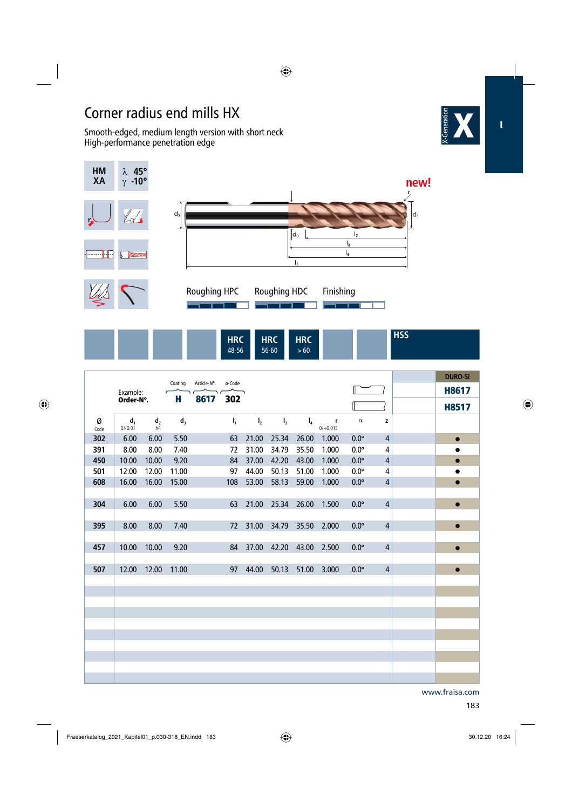## Corner radius end mills HX

 Smooth-edged, medium length version with short neck High-performance penetration edge





| IIDC<br><b>TING</b><br>48-56 | $\mathbf{H}$<br>$\cdots$<br>56-60 | <b>HRC</b><br>$-60$ |  | .<br> |
|------------------------------|-----------------------------------|---------------------|--|-------|
|                              |                                   |                     |  |       |

|           |                             |                      |              |             |        |                |                |       |                 |             |                | <b>DURO-Si</b> |
|-----------|-----------------------------|----------------------|--------------|-------------|--------|----------------|----------------|-------|-----------------|-------------|----------------|----------------|
|           | Example:                    |                      | Coating<br>н | Article-N°. | ø-Code |                |                |       |                 |             |                | <b>H8617</b>   |
|           | Order-N°.                   |                      |              | 8617        | 302    |                |                |       |                 |             |                | <b>H8517</b>   |
| Ø<br>Code | d <sub>1</sub><br>$0/-0.01$ | d <sub>2</sub><br>h4 | $d_3$        |             | $I_1$  | I <sub>2</sub> | $\mathbf{I}_3$ | $I_4$ | r<br>$0/+0.015$ | $\alpha$    | z              |                |
| 302       | 6.00                        | 6.00                 | 5.50         |             | 63     | 21.00          | 25.34          | 26.00 | 1.000           | $0.0^\circ$ | 4              | $\bullet$      |
| 391       | 8.00                        | 8.00                 | 7.40         |             | 72     | 31.00          | 34.79          | 35.50 | 1.000           | $0.0^\circ$ | 4              | $\bullet$      |
| 450       | 10.00                       | 10.00                | 9.20         |             | 84     | 37.00          | 42.20          | 43.00 | 1.000           | $0.0^\circ$ | $\overline{4}$ | $\bullet$      |
| 501       | 12.00                       | 12.00                | 11.00        |             | 97     | 44.00          | 50.13          | 51.00 | 1.000           | $0.0^\circ$ | 4              | $\bullet$      |
| 608       | 16.00                       | 16.00                | 15.00        |             | 108    | 53.00          | 58.13          | 59.00 | 1.000           | $0.0^\circ$ | $\overline{4}$ | $\bullet$      |
|           |                             |                      |              |             |        |                |                |       |                 |             |                |                |
| 304       | 6.00                        | 6.00                 | 5.50         |             | 63     | 21.00          | 25.34          | 26.00 | 1.500           | $0.0^\circ$ | $\overline{4}$ | $\bullet$      |
|           |                             |                      |              |             |        |                |                |       |                 |             |                |                |
| 395       | 8.00                        | 8.00                 | 7.40         |             | 72     | 31.00          | 34.79          | 35.50 | 2.000           | $0.0^\circ$ | $\overline{4}$ | $\bullet$      |
|           |                             |                      |              |             |        |                |                |       |                 |             |                |                |
| 457       | 10.00                       | 10.00                | 9.20         |             | 84     | 37.00          | 42.20          | 43.00 | 2.500           | $0.0^\circ$ | $\overline{4}$ | $\bullet$      |
|           |                             |                      |              |             |        |                |                |       |                 |             |                |                |
| 507       | 12.00                       | 12.00                | 11.00        |             | 97     | 44.00          | 50.13          | 51.00 | 3.000           | $0.0^\circ$ | $\overline{4}$ | $\bullet$      |
|           |                             |                      |              |             |        |                |                |       |                 |             |                |                |
|           |                             |                      |              |             |        |                |                |       |                 |             |                |                |
|           |                             |                      |              |             |        |                |                |       |                 |             |                |                |
|           |                             |                      |              |             |        |                |                |       |                 |             |                |                |
|           |                             |                      |              |             |        |                |                |       |                 |             |                |                |
|           |                             |                      |              |             |        |                |                |       |                 |             |                |                |
|           |                             |                      |              |             |        |                |                |       |                 |             |                |                |
|           |                             |                      |              |             |        |                |                |       |                 |             |                |                |
|           |                             |                      |              |             |        |                |                |       |                 |             |                |                |
|           |                             |                      |              |             |        |                |                |       |                 |             |                |                |